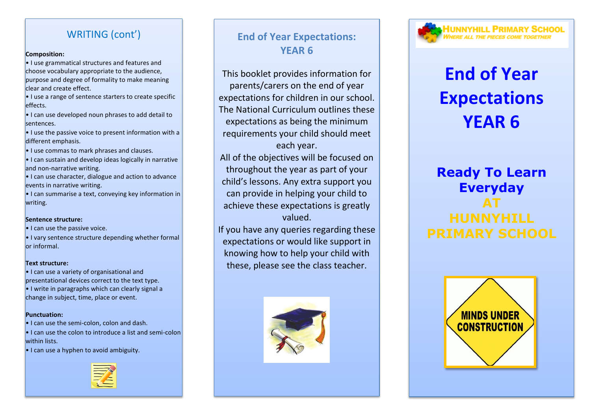## WRITING (cont')

#### **Composition:**

• I use grammatical structures and features and choose vocabulary appropriate to the audience, purpose and degree of formality to make meaning clear and create effect.

 $\cdot$  I use a range of sentence starters to create specific effects.

• I can use developed noun phrases to add detail to sentences.

 $\cdot$  I use the passive voice to present information with a different emphasis.

• I use commas to mark phrases and clauses.

• I can sustain and develop ideas logically in narrative and non-narrative writing.

• I can use character, dialogue and action to advance events in narrative writing.

• I can summarise a text, conveying key information in writing.

#### **Sentence structure:**

• I can use the passive voice.

• I vary sentence structure depending whether formal or informal.

#### **Text structure:**

• I can use a variety of organisational and presentational devices correct to the text type.

• I write in paragraphs which can clearly signal a change in subject, time, place or event.

#### **Punctuation:**

• I can use the semi-colon, colon and dash.

• I can use the colon to introduce a list and semi-colon within lists.

• I can use a hyphen to avoid ambiguity.



## **End of Year Expectations: YEAR 6**

This booklet provides information for parents/carers on the end of year expectations for children in our school. The National Curriculum outlines these expectations as being the minimum requirements your child should meet

each year. All of the objectives will be focused on throughout the year as part of your child's lessons. Any extra support you can provide in helping your child to achieve these expectations is greatly valued.

If you have any queries regarding these expectations or would like support in knowing how to help your child with these, please see the class teacher.





# **End of Year Expectations YEAR 6**

## **Ready To Learn Everyday AT HUNNYHILL**